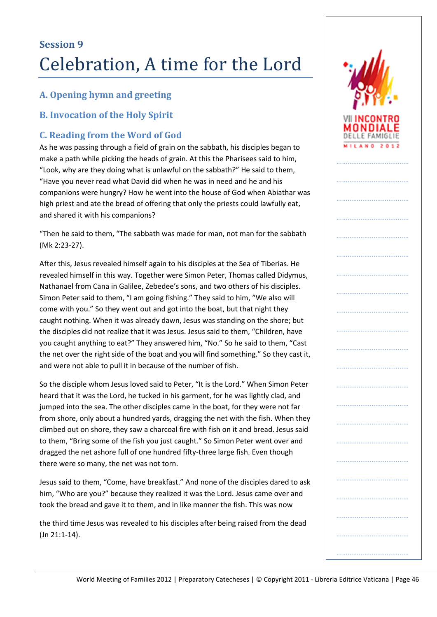## **A. Opening hymn and greeting**

### **B. Invocation of the Holy Spirit**

## **C. Reading from the Word of God**

As he was passing through a field of grain on the sabbath, his disciples began to make a path while picking the heads of grain. At this the Pharisees said to him, "Look, why are they doing what is unlawful on the sabbath?" He said to them, "Have you never read what David did when he was in need and he and his companions were hungry? How he went into the house of God when Abiathar was high priest and ate the bread of offering that only the priests could lawfully eat, and shared it with his companions?

"Then he said to them, "The sabbath was made for man, not man for the sabbath (Mk 2:23-27).

After this, Jesus revealed himself again to his disciples at the Sea of Tiberias. He revealed himself in this way. Together were Simon Peter, Thomas called Didymus, Nathanael from Cana in Galilee, Zebedee's sons, and two others of his disciples. Simon Peter said to them, "I am going fishing." They said to him, "We also will come with you." So they went out and got into the boat, but that night they caught nothing. When it was already dawn, Jesus was standing on the shore; but the disciples did not realize that it was Jesus. Jesus said to them, "Children, have you caught anything to eat?" They answered him, "No." So he said to them, "Cast the net over the right side of the boat and you will find something." So they cast it, and were not able to pull it in because of the number of fish.

So the disciple whom Jesus loved said to Peter, "It is the Lord." When Simon Peter heard that it was the Lord, he tucked in his garment, for he was lightly clad, and jumped into the sea. The other disciples came in the boat, for they were not far from shore, only about a hundred yards, dragging the net with the fish. When they climbed out on shore, they saw a charcoal fire with fish on it and bread. Jesus said to them, "Bring some of the fish you just caught." So Simon Peter went over and dragged the net ashore full of one hundred fifty-three large fish. Even though there were so many, the net was not torn.

Jesus said to them, "Come, have breakfast." And none of the disciples dared to ask him, "Who are you?" because they realized it was the Lord. Jesus came over and took the bread and gave it to them, and in like manner the fish. This was now

the third time Jesus was revealed to his disciples after being raised from the dead (Jn 21:1-14).



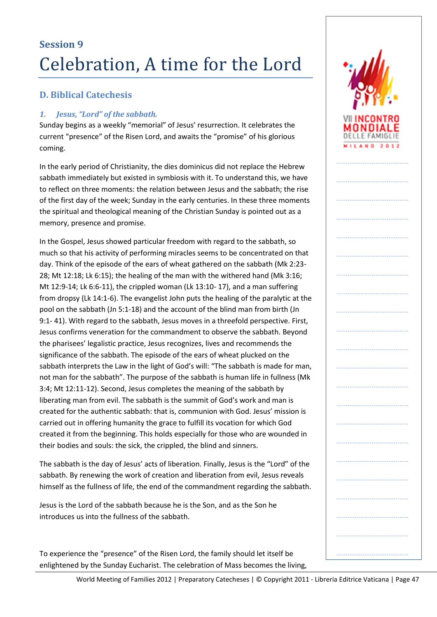## **D. Biblical Catechesis**

### *1. Jesus, "Lord" of the sabbath.*

Sunday begins as a weekly "memorial" of Jesus' resurrection. It celebrates the current "presence" of the Risen Lord, and awaits the "promise" of his glorious coming.

In the early period of Christianity, the dies dominicus did not replace the Hebrew sabbath immediately but existed in symbiosis with it. To understand this, we have to reflect on three moments: the relation between Jesus and the sabbath; the rise of the first day of the week; Sunday in the early centuries. In these three moments the spiritual and theological meaning of the Christian Sunday is pointed out as a memory, presence and promise.

In the Gospel, Jesus showed particular freedom with regard to the sabbath, so much so that his activity of performing miracles seems to be concentrated on that day. Think of the episode of the ears of wheat gathered on the sabbath (Mk 2:23- 28; Mt 12:18; Lk 6:15); the healing of the man with the withered hand (Mk 3:16; Mt 12:9-14; Lk 6:6-11), the crippled woman (Lk 13:10- 17), and a man suffering from dropsy (Lk 14:1-6). The evangelist John puts the healing of the paralytic at the pool on the sabbath (Jn 5:1-18) and the account of the blind man from birth (Jn 9:1- 41). With regard to the sabbath, Jesus moves in a threefold perspective. First, Jesus confirms veneration for the commandment to observe the sabbath. Beyond the pharisees' legalistic practice, Jesus recognizes, lives and recommends the significance of the sabbath. The episode of the ears of wheat plucked on the sabbath interprets the Law in the light of God's will: "The sabbath is made for man, not man for the sabbath". The purpose of the sabbath is human life in fullness (Mk 3:4; Mt 12:11-12). Second, Jesus completes the meaning of the sabbath by liberating man from evil. The sabbath is the summit of God's work and man is created for the authentic sabbath: that is, communion with God. Jesus' mission is carried out in offering humanity the grace to fulfill its vocation for which God created it from the beginning. This holds especially for those who are wounded in their bodies and souls: the sick, the crippled, the blind and sinners.

The sabbath is the day of Jesus' acts of liberation. Finally, Jesus is the "Lord" of the sabbath. By renewing the work of creation and liberation from evil, Jesus reveals himself as the fullness of life, the end of the commandment regarding the sabbath.

Jesus is the Lord of the sabbath because he is the Son, and as the Son he introduces us into the fullness of the sabbath.

To experience the "presence" of the Risen Lord, the family should let itself be enlightened by the Sunday Eucharist. The celebration of Mass becomes the living,



…………………………………

…………………………………

…………………………………

…………………………………

…………………………………

…………………………………

…………………………………

…………………………………

…………………………………

……………………………………………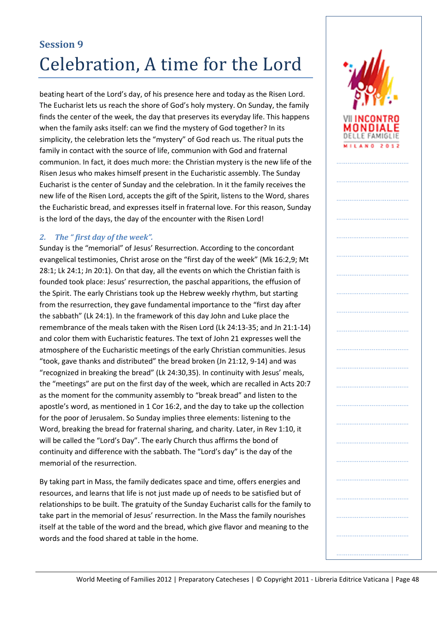beating heart of the Lord's day, of his presence here and today as the Risen Lord. The Eucharist lets us reach the shore of God's holy mystery. On Sunday, the family finds the center of the week, the day that preserves its everyday life. This happens when the family asks itself: can we find the mystery of God together? In its simplicity, the celebration lets the "mystery" of God reach us. The ritual puts the family in contact with the source of life, communion with God and fraternal communion. In fact, it does much more: the Christian mystery is the new life of the Risen Jesus who makes himself present in the Eucharistic assembly. The Sunday Eucharist is the center of Sunday and the celebration. In it the family receives the new life of the Risen Lord, accepts the gift of the Spirit, listens to the Word, shares the Eucharistic bread, and expresses itself in fraternal love. For this reason, Sunday is the lord of the days, the day of the encounter with the Risen Lord!

### *2. The " first day of the week".*

Sunday is the "memorial" of Jesus' Resurrection. According to the concordant evangelical testimonies, Christ arose on the "first day of the week" (Mk 16:2,9; Mt 28:1; Lk 24:1; Jn 20:1). On that day, all the events on which the Christian faith is founded took place: Jesus' resurrection, the paschal apparitions, the effusion of the Spirit. The early Christians took up the Hebrew weekly rhythm, but starting from the resurrection, they gave fundamental importance to the "first day after the sabbath" (Lk 24:1). In the framework of this day John and Luke place the remembrance of the meals taken with the Risen Lord (Lk 24:13-35; and Jn 21:1-14) and color them with Eucharistic features. The text of John 21 expresses well the atmosphere of the Eucharistic meetings of the early Christian communities. Jesus "took, gave thanks and distributed" the bread broken (Jn 21:12, 9-14) and was "recognized in breaking the bread" (Lk 24:30,35). In continuity with Jesus' meals, the "meetings" are put on the first day of the week, which are recalled in Acts 20:7 as the moment for the community assembly to "break bread" and listen to the apostle's word, as mentioned in 1 Cor 16:2, and the day to take up the collection for the poor of Jerusalem. So Sunday implies three elements: listening to the Word, breaking the bread for fraternal sharing, and charity. Later, in Rev 1:10, it will be called the "Lord's Day". The early Church thus affirms the bond of continuity and difference with the sabbath. The "Lord's day" is the day of the memorial of the resurrection.

By taking part in Mass, the family dedicates space and time, offers energies and resources, and learns that life is not just made up of needs to be satisfied but of relationships to be built. The gratuity of the Sunday Eucharist calls for the family to take part in the memorial of Jesus' resurrection. In the Mass the family nourishes itself at the table of the word and the bread, which give flavor and meaning to the words and the food shared at table in the home.

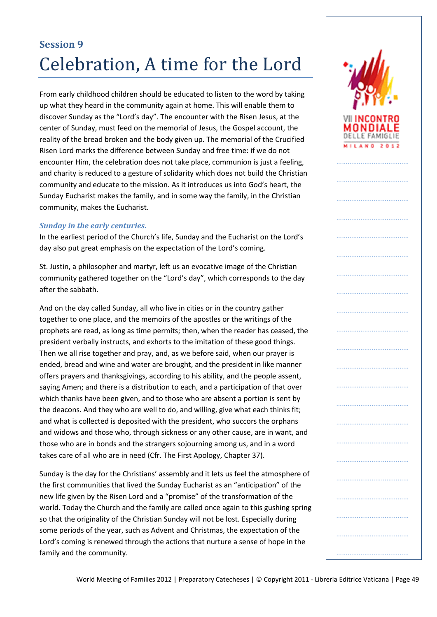From early childhood children should be educated to listen to the word by taking up what they heard in the community again at home. This will enable them to discover Sunday as the "Lord's day". The encounter with the Risen Jesus, at the center of Sunday, must feed on the memorial of Jesus, the Gospel account, the reality of the bread broken and the body given up. The memorial of the Crucified Risen Lord marks the difference between Sunday and free time: if we do not encounter Him, the celebration does not take place, communion is just a feeling, and charity is reduced to a gesture of solidarity which does not build the Christian community and educate to the mission. As it introduces us into God's heart, the Sunday Eucharist makes the family, and in some way the family, in the Christian community, makes the Eucharist.

#### *Sunday in the early centuries.*

In the earliest period of the Church's life, Sunday and the Eucharist on the Lord's day also put great emphasis on the expectation of the Lord's coming.

St. Justin, a philosopher and martyr, left us an evocative image of the Christian community gathered together on the "Lord's day", which corresponds to the day after the sabbath.

And on the day called Sunday, all who live in cities or in the country gather together to one place, and the memoirs of the apostles or the writings of the prophets are read, as long as time permits; then, when the reader has ceased, the president verbally instructs, and exhorts to the imitation of these good things. Then we all rise together and pray, and, as we before said, when our prayer is ended, bread and wine and water are brought, and the president in like manner offers prayers and thanksgivings, according to his ability, and the people assent, saying Amen; and there is a distribution to each, and a participation of that over which thanks have been given, and to those who are absent a portion is sent by the deacons. And they who are well to do, and willing, give what each thinks fit; and what is collected is deposited with the president, who succors the orphans and widows and those who, through sickness or any other cause, are in want, and those who are in bonds and the strangers sojourning among us, and in a word takes care of all who are in need (Cfr. The First Apology, Chapter 37).

Sunday is the day for the Christians' assembly and it lets us feel the atmosphere of the first communities that lived the Sunday Eucharist as an "anticipation" of the new life given by the Risen Lord and a "promise" of the transformation of the world. Today the Church and the family are called once again to this gushing spring so that the originality of the Christian Sunday will not be lost. Especially during some periods of the year, such as Advent and Christmas, the expectation of the Lord's coming is renewed through the actions that nurture a sense of hope in the family and the community.

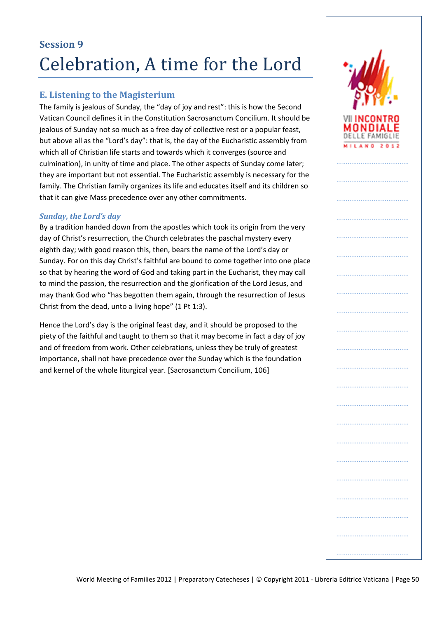## **E. Listening to the Magisterium**

The family is jealous of Sunday, the "day of joy and rest": this is how the Second Vatican Council defines it in the Constitution Sacrosanctum Concilium. It should be jealous of Sunday not so much as a free day of collective rest or a popular feast, but above all as the "Lord's day": that is, the day of the Eucharistic assembly from which all of Christian life starts and towards which it converges (source and culmination), in unity of time and place. The other aspects of Sunday come later; they are important but not essential. The Eucharistic assembly is necessary for the family. The Christian family organizes its life and educates itself and its children so that it can give Mass precedence over any other commitments.

### *Sunday, the Lord's day*

By a tradition handed down from the apostles which took its origin from the very day of Christ's resurrection, the Church celebrates the paschal mystery every eighth day; with good reason this, then, bears the name of the Lord's day or Sunday. For on this day Christ's faithful are bound to come together into one place so that by hearing the word of God and taking part in the Eucharist, they may call to mind the passion, the resurrection and the glorification of the Lord Jesus, and may thank God who "has begotten them again, through the resurrection of Jesus Christ from the dead, unto a living hope" (1 Pt 1:3).

Hence the Lord's day is the original feast day, and it should be proposed to the piety of the faithful and taught to them so that it may become in fact a day of joy and of freedom from work. Other celebrations, unless they be truly of greatest importance, shall not have precedence over the Sunday which is the foundation and kernel of the whole liturgical year. [Sacrosanctum Concilium, 106]



……………………………………………

…………………………………………

……………………………………………

…………………………………

…………………………………

…………………………………

…………………………………

…………………………………

…………………………………

…………………………………

…………………………………

…………………………………

…………………………………………

…………………………………

…………………………………

……………………………………………

………………………………………………